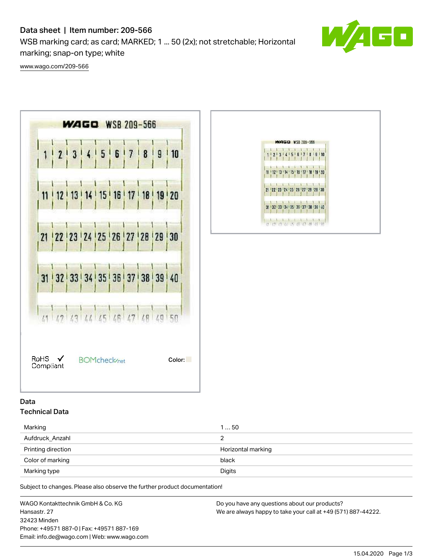# Data sheet | Item number: 209-566

WSB marking card; as card; MARKED; 1 ... 50 (2x); not stretchable; Horizontal marking; snap-on type; white



[www.wago.com/209-566](http://www.wago.com/209-566)





## Data Technical Data

| Marking            | 150                |  |
|--------------------|--------------------|--|
| Aufdruck_Anzahl    |                    |  |
| Printing direction | Horizontal marking |  |
| Color of marking   | black              |  |
| Marking type       | Digits             |  |

Subject to changes. Please also observe the further product documentation!

WAGO Kontakttechnik GmbH & Co. KG Hansastr. 27 32423 Minden Phone: +49571 887-0 | Fax: +49571 887-169 Email: info.de@wago.com | Web: www.wago.com

Do you have any questions about our products? We are always happy to take your call at +49 (571) 887-44222.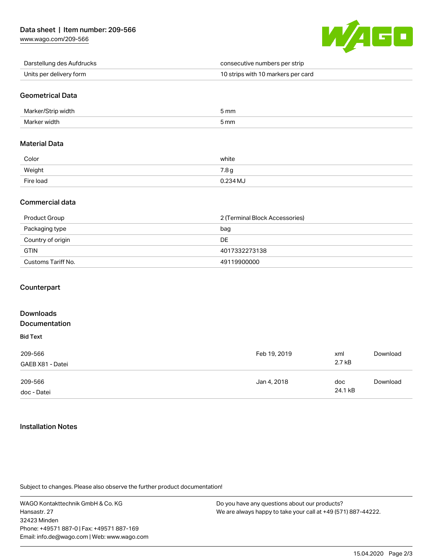

Darstellung des Aufdrucks consecutive numbers per strip Units per delivery form **10 and 10 strips with 10 markers per card** 

## Geometrical Data

| Marl<br>זר   | 5 mm |
|--------------|------|
| Mar<br>width | 5 mm |

#### Material Data

| Color     | white            |
|-----------|------------------|
| Weight    | 7.8 <sub>g</sub> |
| Fire load | 0.234 MJ         |

### Commercial data

| Product Group      | 2 (Terminal Block Accessories) |  |
|--------------------|--------------------------------|--|
| Packaging type     | bag                            |  |
| Country of origin  | DE                             |  |
| <b>GTIN</b>        | 4017332273138                  |  |
| Customs Tariff No. | 49119900000                    |  |

#### **Counterpart**

| <b>Downloads</b><br>Documentation |              |                |          |
|-----------------------------------|--------------|----------------|----------|
| <b>Bid Text</b>                   |              |                |          |
| 209-566<br>GAEB X81 - Datei       | Feb 19, 2019 | xml<br>2.7 kB  | Download |
| 209-566<br>doc - Datei            | Jan 4, 2018  | doc<br>24.1 kB | Download |

#### Installation Notes

Subject to changes. Please also observe the further product documentation!

WAGO Kontakttechnik GmbH & Co. KG Hansastr. 27 32423 Minden Phone: +49571 887-0 | Fax: +49571 887-169 Email: info.de@wago.com | Web: www.wago.com

Do you have any questions about our products? We are always happy to take your call at +49 (571) 887-44222.